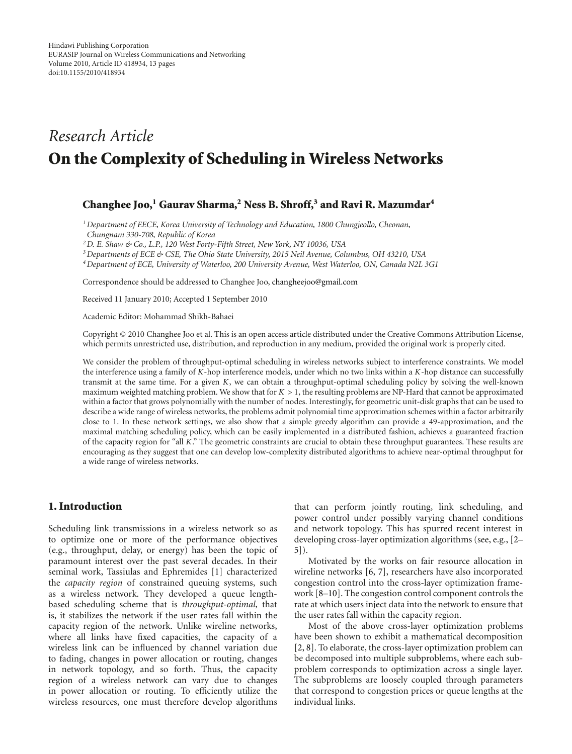# *Research Article* **On the Complexity of Scheduling in Wireless Networks**

## **Changhee Joo,1 Gaurav Sharma,2 Ness B. Shroff,3 and Ravi R. Mazumdar4**

*1Department of EECE, Korea University of Technology and Education, 1800 Chungjeollo, Cheonan,*

*Chungnam 330-708, Republic of Korea*

*2D. E. Shaw & Co., L.P., 120 West Forty-Fifth Street, New York, NY 10036, USA*

*3Departments of ECE & CSE, The Ohio State University, 2015 Neil Avenue, Columbus, OH 43210, USA*

*4Department of ECE, University of Waterloo, 200 University Avenue, West Waterloo, ON, Canada N2L 3G1*

Correspondence should be addressed to Changhee Joo, changheejoo@gmail.com

Received 11 January 2010; Accepted 1 September 2010

Academic Editor: Mohammad Shikh-Bahaei

Copyright © 2010 Changhee Joo et al. This is an open access article distributed under the Creative Commons Attribution License, which permits unrestricted use, distribution, and reproduction in any medium, provided the original work is properly cited.

We consider the problem of throughput-optimal scheduling in wireless networks subject to interference constraints. We model the interference using a family of *K*-hop interference models, under which no two links within a *K*-hop distance can successfully transmit at the same time. For a given *K*, we can obtain a throughput-optimal scheduling policy by solving the well-known maximum weighted matching problem. We show that for *K >* 1, the resulting problems are NP-Hard that cannot be approximated within a factor that grows polynomially with the number of nodes. Interestingly, for geometric unit-disk graphs that can be used to describe a wide range of wireless networks, the problems admit polynomial time approximation schemes within a factor arbitrarily close to 1. In these network settings, we also show that a simple greedy algorithm can provide a 49-approximation, and the maximal matching scheduling policy, which can be easily implemented in a distributed fashion, achieves a guaranteed fraction of the capacity region for "all *K*." The geometric constraints are crucial to obtain these throughput guarantees. These results are encouraging as they suggest that one can develop low-complexity distributed algorithms to achieve near-optimal throughput for a wide range of wireless networks.

## **1. Introduction**

Scheduling link transmissions in a wireless network so as to optimize one or more of the performance objectives (e.g., throughput, delay, or energy) has been the topic of paramount interest over the past several decades. In their seminal work, Tassiulas and Ephremides [1] characterized the *capacity region* of constrained queuing systems, such as a wireless network. They developed a queue lengthbased scheduling scheme that is *throughput-optimal*, that is, it stabilizes the network if the user rates fall within the capacity region of the network. Unlike wireline networks, where all links have fixed capacities, the capacity of a wireless link can be influenced by channel variation due to fading, changes in power allocation or routing, changes in network topology, and so forth. Thus, the capacity region of a wireless network can vary due to changes in power allocation or routing. To efficiently utilize the wireless resources, one must therefore develop algorithms

that can perform jointly routing, link scheduling, and power control under possibly varying channel conditions and network topology. This has spurred recent interest in developing cross-layer optimization algorithms (see, e.g., [2– 5]).

Motivated by the works on fair resource allocation in wireline networks [6, 7], researchers have also incorporated congestion control into the cross-layer optimization framework [8–10]. The congestion control component controls the rate at which users inject data into the network to ensure that the user rates fall within the capacity region.

Most of the above cross-layer optimization problems have been shown to exhibit a mathematical decomposition [2, 8]. To elaborate, the cross-layer optimization problem can be decomposed into multiple subproblems, where each subproblem corresponds to optimization across a single layer. The subproblems are loosely coupled through parameters that correspond to congestion prices or queue lengths at the individual links.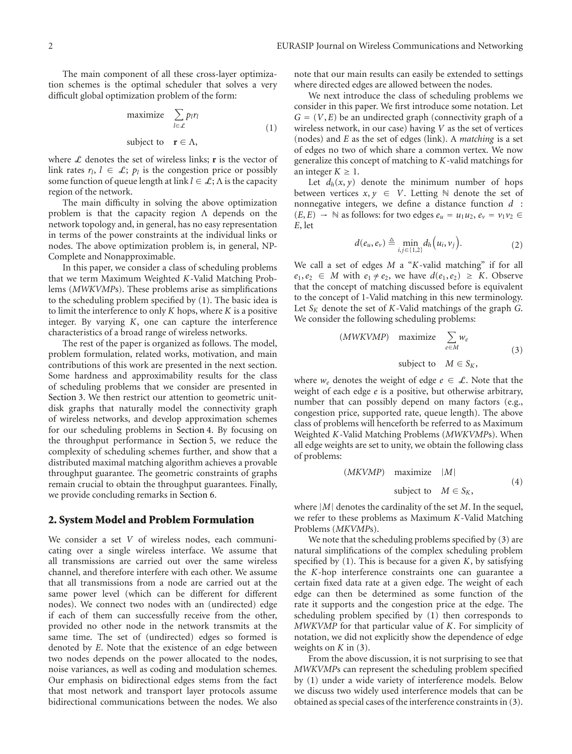The main component of all these cross-layer optimization schemes is the optimal scheduler that solves a very difficult global optimization problem of the form:

maximize 
$$
\sum_{l \in \mathcal{L}} p_l r_l
$$
  
subject to  $\mathbf{r} \in \Lambda$ , (1)

where  $\mathcal L$  denotes the set of wireless links; **r** is the vector of link rates  $r_l$ ,  $l \in \mathcal{L}$ ;  $p_l$  is the congestion price or possibly some function of queue length at link  $l \in \mathcal{L}$ ;  $\Lambda$  is the capacity region of the network.

The main difficulty in solving the above optimization problem is that the capacity region  $\Lambda$  depends on the network topology and, in general, has no easy representation in terms of the power constraints at the individual links or nodes. The above optimization problem is, in general, NP-Complete and Nonapproximable.

In this paper, we consider a class of scheduling problems that we term Maximum Weighted *K*-Valid Matching Problems (*MWKVMP*s). These problems arise as simplifications to the scheduling problem specified by (1). The basic idea is to limit the interference to only *K* hops, where *K* is a positive integer. By varying *K*, one can capture the interference characteristics of a broad range of wireless networks.

The rest of the paper is organized as follows. The model, problem formulation, related works, motivation, and main contributions of this work are presented in the next section. Some hardness and approximability results for the class of scheduling problems that we consider are presented in Section 3. We then restrict our attention to geometric unitdisk graphs that naturally model the connectivity graph of wireless networks, and develop approximation schemes for our scheduling problems in Section 4. By focusing on the throughput performance in Section 5, we reduce the complexity of scheduling schemes further, and show that a distributed maximal matching algorithm achieves a provable throughput guarantee. The geometric constraints of graphs remain crucial to obtain the throughput guarantees. Finally, we provide concluding remarks in Section 6.

#### **2. System Model and Problem Formulation**

We consider a set *V* of wireless nodes, each communicating over a single wireless interface. We assume that all transmissions are carried out over the same wireless channel, and therefore interfere with each other. We assume that all transmissions from a node are carried out at the same power level (which can be different for different nodes). We connect two nodes with an (undirected) edge if each of them can successfully receive from the other, provided no other node in the network transmits at the same time. The set of (undirected) edges so formed is denoted by *E*. Note that the existence of an edge between two nodes depends on the power allocated to the nodes, noise variances, as well as coding and modulation schemes. Our emphasis on bidirectional edges stems from the fact that most network and transport layer protocols assume bidirectional communications between the nodes. We also

note that our main results can easily be extended to settings where directed edges are allowed between the nodes.

We next introduce the class of scheduling problems we consider in this paper. We first introduce some notation. Let  $G = (V, E)$  be an undirected graph (connectivity graph of a wireless network, in our case) having *V* as the set of vertices (nodes) and *E* as the set of edges (link). A *matching* is a set of edges no two of which share a common vertex. We now generalize this concept of matching to *K*-valid matchings for an integer  $K \geq 1$ .

Let  $d_h(x, y)$  denote the minimum number of hops between vertices  $x, y \in V$ . Letting  $\mathbb N$  denote the set of nonnegative integers, we define a distance function *d* :  $(E, E) \rightarrow \mathbb{N}$  as follows: for two edges  $e_u = u_1 u_2, e_v = v_1 v_2 \in$ *E*, let

$$
d(e_u, e_v) \triangleq \min_{i,j \in \{1,2\}} d_h(u_i, v_j).
$$
 (2)

We call a set of edges *M* a "*K*-valid matching" if for all  $e_1, e_2 \in M$  with  $e_1 \neq e_2$ , we have  $d(e_1, e_2) \geq K$ . Observe that the concept of matching discussed before is equivalent to the concept of 1-Valid matching in this new terminology. Let  $S_K$  denote the set of  $K$ -Valid matchings of the graph  $G$ . We consider the following scheduling problems:

$$
(MWKVMP) \quad \text{maximize} \quad \sum_{e \in M} w_e
$$
\n
$$
\text{subject to} \quad M \in S_K,
$$
\n
$$
(3)
$$

where  $w_e$  denotes the weight of edge  $e \in \mathcal{L}$ . Note that the weight of each edge *e* is a positive, but otherwise arbitrary, number that can possibly depend on many factors (e.g., congestion price, supported rate, queue length). The above class of problems will henceforth be referred to as Maximum Weighted *K*-Valid Matching Problems (*MWKVMP*s). When all edge weights are set to unity, we obtain the following class of problems:

$$
(MKVMP) \quad \text{maximize} \quad |M|
$$
\n
$$
\text{subject to} \quad M \in S_K,
$$
\n
$$
(4)
$$

where <sup>|</sup>*M*<sup>|</sup> denotes the cardinality of the set *<sup>M</sup>*. In the sequel, we refer to these problems as Maximum *K*-Valid Matching Problems (*MKVMP*s).

We note that the scheduling problems specified by (3) are natural simplifications of the complex scheduling problem specified by (1). This is because for a given *K*, by satisfying the *K*-hop interference constraints one can guarantee a certain fixed data rate at a given edge. The weight of each edge can then be determined as some function of the rate it supports and the congestion price at the edge. The scheduling problem specified by (1) then corresponds to *MWKVMP* for that particular value of *K*. For simplicity of notation, we did not explicitly show the dependence of edge weights on  $K$  in  $(3)$ .

From the above discussion, it is not surprising to see that *MWKVMP*s can represent the scheduling problem specified by (1) under a wide variety of interference models. Below we discuss two widely used interference models that can be obtained as special cases of the interference constraints in (3).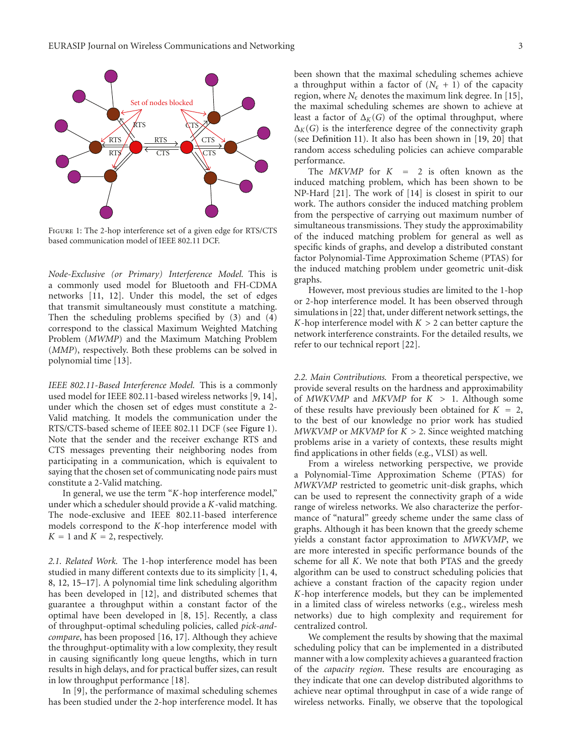

Figure 1: The 2-hop interference set of a given edge for RTS/CTS based communication model of IEEE 802.11 DCF.

*Node-Exclusive (or Primary) Interference Model.* This is a commonly used model for Bluetooth and FH-CDMA networks [11, 12]. Under this model, the set of edges that transmit simultaneously must constitute a matching. Then the scheduling problems specified by (3) and (4) correspond to the classical Maximum Weighted Matching Problem (*MWMP*) and the Maximum Matching Problem (*MMP*), respectively. Both these problems can be solved in polynomial time [13].

*IEEE 802.11-Based Interference Model.* This is a commonly used model for IEEE 802.11-based wireless networks [9, 14], under which the chosen set of edges must constitute a 2- Valid matching. It models the communication under the RTS/CTS-based scheme of IEEE 802.11 DCF (see Figure 1). Note that the sender and the receiver exchange RTS and CTS messages preventing their neighboring nodes from participating in a communication, which is equivalent to saying that the chosen set of communicating node pairs must constitute a 2-Valid matching.

In general, we use the term "*K*-hop interference model," under which a scheduler should provide a *K*-valid matching. The node-exclusive and IEEE 802.11-based interference models correspond to the *K*-hop interference model with  $K = 1$  and  $K = 2$ , respectively.

*2.1. Related Work.* The 1-hop interference model has been studied in many different contexts due to its simplicity [1, 4, 8, 12, 15–17]. A polynomial time link scheduling algorithm has been developed in [12], and distributed schemes that guarantee a throughput within a constant factor of the optimal have been developed in [8, 15]. Recently, a class of throughput-optimal scheduling policies, called *pick-andcompare*, has been proposed [16, 17]. Although they achieve the throughput-optimality with a low complexity, they result in causing significantly long queue lengths, which in turn results in high delays, and for practical buffer sizes, can result in low throughput performance [18].

In [9], the performance of maximal scheduling schemes has been studied under the 2-hop interference model. It has been shown that the maximal scheduling schemes achieve a throughput within a factor of  $(N_{\epsilon} + 1)$  of the capacity region, where  $N_{\epsilon}$  denotes the maximum link degree. In [15], the maximal scheduling schemes are shown to achieve at least a factor of  $\Delta_K(G)$  of the optimal throughput, where  $\Delta K(G)$  is the interference degree of the connectivity graph (see Definition 11). It also has been shown in [19, 20] that random access scheduling policies can achieve comparable performance.

The *MKVMP* for *<sup>K</sup>* <sup>=</sup> 2 is often known as the induced matching problem, which has been shown to be NP-Hard [21]. The work of [14] is closest in spirit to our work. The authors consider the induced matching problem from the perspective of carrying out maximum number of simultaneous transmissions. They study the approximability of the induced matching problem for general as well as specific kinds of graphs, and develop a distributed constant factor Polynomial-Time Approximation Scheme (PTAS) for the induced matching problem under geometric unit-disk graphs.

However, most previous studies are limited to the 1-hop or 2-hop interference model. It has been observed through simulations in [22] that, under different network settings, the *K*-hop interference model with  $K > 2$  can better capture the network interference constraints. For the detailed results, we refer to our technical report [22].

*2.2. Main Contributions.* From a theoretical perspective, we provide several results on the hardness and approximability of *MWKVMP* and *MKVMP* for *K >* 1. Although some of these results have previously been obtained for  $K = 2$ , to the best of our knowledge no prior work has studied *MWKVMP* or *MKVMP* for *K >* 2. Since weighted matching problems arise in a variety of contexts, these results might find applications in other fields (e.g., VLSI) as well.

From a wireless networking perspective, we provide a Polynomial-Time Approximation Scheme (PTAS) for *MWKVMP* restricted to geometric unit-disk graphs, which can be used to represent the connectivity graph of a wide range of wireless networks. We also characterize the performance of "natural" greedy scheme under the same class of graphs. Although it has been known that the greedy scheme yields a constant factor approximation to *MWKVMP*, we are more interested in specific performance bounds of the scheme for all *K*. We note that both PTAS and the greedy algorithm can be used to construct scheduling policies that achieve a constant fraction of the capacity region under *K*-hop interference models, but they can be implemented in a limited class of wireless networks (e.g., wireless mesh networks) due to high complexity and requirement for centralized control.

We complement the results by showing that the maximal scheduling policy that can be implemented in a distributed manner with a low complexity achieves a guaranteed fraction of the *capacity region*. These results are encouraging as they indicate that one can develop distributed algorithms to achieve near optimal throughput in case of a wide range of wireless networks. Finally, we observe that the topological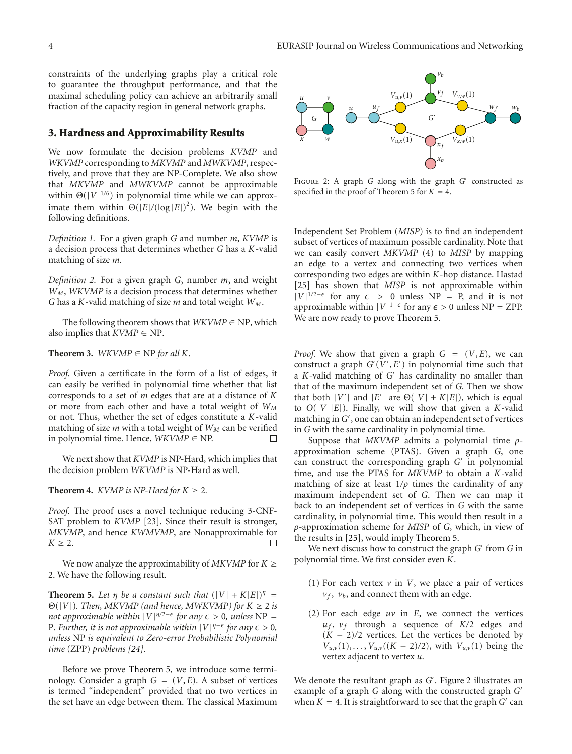constraints of the underlying graphs play a critical role to guarantee the throughput performance, and that the maximal scheduling policy can achieve an arbitrarily small fraction of the capacity region in general network graphs.

### **3. Hardness and Approximability Results**

We now formulate the decision problems *KVMP* and *WKVMP* corresponding to *MKVMP* and *MWKVMP*, respectively, and prove that they are NP-Complete. We also show that *MKVMP* and *MWKVMP* cannot be approximable within  $\Theta(|V|^{1/6})$  in polynomial time while we can approximate them within  $\Theta(|E|/(\log |E|)^2)$ . We begin with the following definitions.

*Definition 1.* For a given graph *G* and number *m*, *KVMP* is a decision process that determines whether *G* has a *K*-valid matching of size *m*.

*Definition 2.* For a given graph *G*, number *m*, and weight *WM*, *WKVMP* is a decision process that determines whether *G* has a *K*-valid matching of size *m* and total weight *WM*.

The following theorem shows that  $WKVMP \in NP$ , which also implies that  $KVMP \in NP$ .

**Theorem 3.** *WKVMP*  $\in$  NP *for all K.* 

*Proof.* Given a certificate in the form of a list of edges, it can easily be verified in polynomial time whether that list corresponds to a set of *m* edges that are at a distance of *K* or more from each other and have a total weight of *WM* or not. Thus, whether the set of edges constitute a *K*-valid matching of size *m* with a total weight of  $W_M$  can be verified in polynomial time. Hence, *WKVMP* ∈ NP.  $\Box$ 

We next show that *KVMP* is NP-Hard, which implies that the decision problem *WKVMP* is NP-Hard as well.

**Theorem 4.** *KVMP is NP-Hard for*  $K \geq 2$ *.* 

*Proof.* The proof uses a novel technique reducing 3-CNF-SAT problem to *KVMP* [23]. Since their result is stronger, *MKVMP*, and hence *KWMVMP*, are Nonapproximable for  $K \geq 2$ .  $\Box$ 

We now analyze the approximability of *MKVMP* for  $K \geq$ 2. We have the following result.

**Theorem 5.** Let  $\eta$  be a constant such that  $(|V| + K|E|)^{\eta} =$  $\Theta(|V|)$ *. Then, MKVMP (and hence, MWKVMP) for*  $K \geq 2$  *is not approximable within*  $|V|^{n/2-\epsilon}$  *for any*  $\epsilon > 0$ *, unless* NP = P. Further, it is not approximable within  $|V|^{n-\epsilon}$  for any  $\epsilon > 0$ , *unless* NP *is equivalent to Zero-error Probabilistic Polynomial time* (ZPP) *problems [24].*

Before we prove Theorem 5, we introduce some terminology. Consider a graph  $G = (V, E)$ . A subset of vertices is termed "independent" provided that no two vertices in the set have an edge between them. The classical Maximum



FIGURE 2: A graph *G* along with the graph *G'* constructed as specified in the proof of Theorem 5 for  $K = 4$ .

Independent Set Problem (*MISP*) is to find an independent subset of vertices of maximum possible cardinality. Note that we can easily convert *MKVMP* (4) to *MISP* by mapping an edge to a vertex and connecting two vertices when corresponding two edges are within *K*-hop distance. Hastad [25] has shown that *MISP* is not approximable within  $|V|^{1/2-\epsilon}$  for any  $\epsilon > 0$  unless NP = P, and it is not approximable within  $|V|^{1-\epsilon}$  for any  $\epsilon > 0$  unless NP = ZPP. We are now ready to prove Theorem 5.

*Proof.* We show that given a graph  $G = (V, E)$ , we can construct a graph  $G'(V', E')$  in polynomial time such that a *K*-valid matching of *G* has cardinality no smaller than that of the maximum independent set of *G*. Then we show that both  $|V'|$  and  $|E'|$  are  $\Theta(|V| + K|E|)$ , which is equal to  $O(|V||E|)$ . Finally, we will show that given a *K*-valid matching in *G'*, one can obtain an independent set of vertices in *G* with the same cardinality in polynomial time.

Suppose that *MKVMP* admits a polynomial time *ρ*approximation scheme (PTAS). Given a graph *G*, one can construct the corresponding graph *G* in polynomial time, and use the PTAS for *MKVMP* to obtain a *K*-valid matching of size at least  $1/\rho$  times the cardinality of any maximum independent set of *G*. Then we can map it back to an independent set of vertices in *G* with the same cardinality, in polynomial time. This would then result in a *ρ*-approximation scheme for *MISP* of *G*, which, in view of the results in [25], would imply Theorem 5.

We next discuss how to construct the graph *G'* from *G* in polynomial time. We first consider even *K*.

- (1) For each vertex  $\nu$  in *V*, we place a pair of vertices  $v_f$ ,  $v_b$ , and connect them with an edge.
- (2) For each edge *uv* in *E*, we connect the vertices  $u_f$ ,  $v_f$  through a sequence of  $K/2$  edges and  $(K - 2)/2$  vertices. Let the vertices be denoted by *V<sub>u,<i>v*</sub>(1), ..., *V*<sub>*u*,*v*</sub>((*K* − 2)/2), with *V*<sub>*u*</sub>,*v*(1) being the vertex adjacent to vertex *u*.

We denote the resultant graph as *G'*. Figure 2 illustrates an example of a graph *G* along with the constructed graph *G* when  $K = 4$ . It is straightforward to see that the graph *G'* can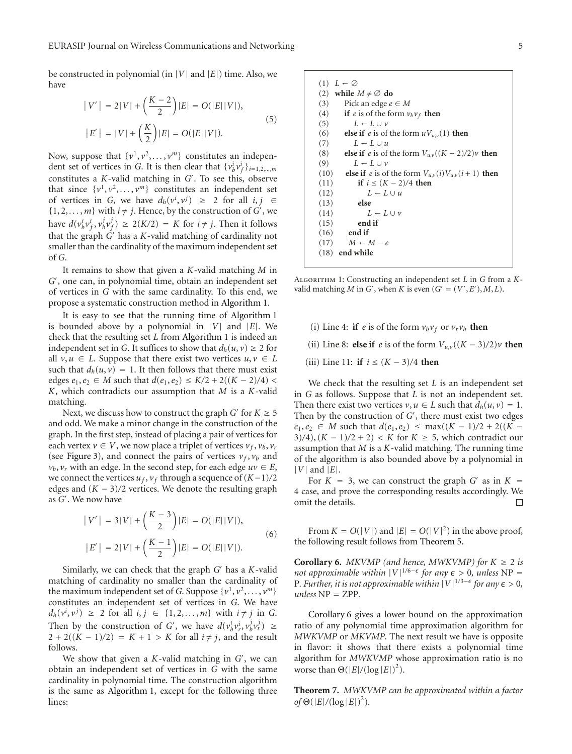be constructed in polynomial (in  $|V|$  and  $|E|$ ) time. Also, we have

$$
|V'| = 2|V| + \left(\frac{K-2}{2}\right)|E| = O(|E||V|),
$$
  

$$
|E'| = |V| + \left(\frac{K}{2}\right)|E| = O(|E||V|).
$$
 (5)

Now, suppose that  $\{v^1, v^2, \ldots, v^m\}$  constitutes an independent set of vertices in *G*. It is then clear that  $\{v^i_b v^i_f\}_{i=1,2,...,m}$ constitutes a *K*-valid matching in *G* . To see this, observe that since  $\{v^1, v^2, \ldots, v^m\}$  constitutes an independent set of vertices in *G*, we have  $d_h(v^i, v^j) \geq 2$  for all  $i, j \in$  $\{1, 2, \ldots, m\}$  with  $i \neq j$ . Hence, by the construction of  $G'$ , we have  $d(v_b^i v_f^i, v_b^j v_f^j) \ge 2(K/2) = K$  for  $i \ne j$ . Then it follows that the graph  $\tilde{G}$  has a  $K$ -valid matching of cardinality not smaller than the cardinality of the maximum independent set of *G*.

It remains to show that given a *K*-valid matching *M* in *G* , one can, in polynomial time, obtain an independent set of vertices in *G* with the same cardinality. To this end, we propose a systematic construction method in Algorithm 1.

It is easy to see that the running time of Algorithm 1 is bounded above by a polynomial in <sup>|</sup>*V*<sup>|</sup> and <sup>|</sup>*E*|. We check that the resulting set *L* from Algorithm 1 is indeed an independent set in *G*. It suffices to show that  $d_h(u, v) \geq 2$  for all  $v, u \in L$ . Suppose that there exist two vertices  $u, v \in L$ such that  $d_h(u, v) = 1$ . It then follows that there must exist edges *e*<sub>1</sub>, *e*<sub>2</sub> ∈ *M* such that  $d(e_1, e_2)$  ≤  $K/2 + 2((K – 2)/4)$  < *K*, which contradicts our assumption that *M* is a *K*-valid matching.

Next, we discuss how to construct the graph *G'* for  $K \geq 5$ and odd. We make a minor change in the construction of the graph. In the first step, instead of placing a pair of vertices for each vertex  $v \in V$ , we now place a triplet of vertices  $v_f$ ,  $v_b$ ,  $v_r$ (see Figure 3), and connect the pairs of vertices  $v_f$ ,  $v_b$  and  $v_b$ ,  $v_r$  with an edge. In the second step, for each edge  $uv \in E$ , we connect the vertices  $u_f$ ,  $v_f$  through a sequence of  $(K-1)/2$ edges and  $(K - 3)/2$  vertices. We denote the resulting graph as *G* . We now have

$$
|V'| = 3|V| + \left(\frac{K-3}{2}\right)|E| = O(|E||V|),
$$
  

$$
|E'| = 2|V| + \left(\frac{K-1}{2}\right)|E| = O(|E||V|).
$$
 (6)

Similarly, we can check that the graph *G'* has a *K*-valid matching of cardinality no smaller than the cardinality of the maximum independent set of *G*. Suppose  $\{v^1, v^2, \ldots, v^m\}$ constitutes an independent set of vertices in *G*. We have  $d_h(v^i, v^j) \geq 2$  for all  $i, j \in \{1, 2, ..., m\}$  with  $i \neq j$  in *G*. Then by the construction of *G*<sup>'</sup>, we have  $d(v_b^i v_r^i, v_b^j v_r^j) \ge$  $2 + 2((K - 1)/2) = K + 1 > K$  for all  $i \neq j$ , and the result follows.

We show that given a *K*-valid matching in *G* , we can obtain an independent set of vertices in *G* with the same cardinality in polynomial time. The construction algorithm is the same as Algorithm 1, except for the following three lines:

| $(1)$ $L \leftarrow \emptyset$                                         |
|------------------------------------------------------------------------|
| (2) while $M \neq \emptyset$ do                                        |
| (3)<br>Pick an edge $e \in M$                                          |
| (4) if <i>e</i> is of the form $v_b v_f$ then                          |
| (5)<br>$L \leftarrow L \cup \nu$                                       |
| (6) <b>else if</b> e is of the form $uV_{u,v}(1)$ then                 |
| (7)<br>$L \leftarrow L \cup u$                                         |
| (8) else if e is of the form $V_{u,v}((K-2)/2)v$ then                  |
| (9)<br>$L \leftarrow L \cup \nu$                                       |
| (10)<br><b>else if</b> e is of the form $V_{u,v}(i) V_{u,v}(i+1)$ then |
| (11)<br>if $i \leq (K-2)/4$ then                                       |
| (12)<br>$L \leftarrow L \cup u$                                        |
| (13)<br>else                                                           |
| $L \leftarrow L \cup \nu$<br>(14)                                      |
| end if<br>(15)                                                         |
| (16)<br>end if                                                         |
| $(17)$ $M \leftarrow M - e$                                            |
| end while<br>(18)                                                      |
|                                                                        |

Algorithm 1: Constructing an independent set *L* in *G* from a *K*valid matching *M* in *G*<sup>'</sup>, when *K* is even  $(G' = (V', E'), M, L)$ .

- (i) Line 4: **if** *e* is of the form  $v_b v_f$  or  $v_r v_b$  **then**
- (ii) Line 8: **else if** *e* is of the form  $V_{u,v}((K-3)/2)v$  **then**
- (iii) Line 11: **if**  $i \leq (K 3)/4$  **then**

We check that the resulting set *L* is an independent set in *G* as follows. Suppose that *L* is not an independent set. Then there exist two vertices  $v, u \in L$  such that  $d_h(u, v) = 1$ . Then by the construction of *G'*, there must exist two edges *e*<sub>1</sub>, *e*<sub>2</sub> ∈ *M* such that  $d(e_1, e_2)$  ≤ max((*K* − 1)/2 + 2((*K* −  $3/4$ ,  $(K - 1)/2 + 2$  < *K* for  $K \ge 5$ , which contradict our assumption that *M* is a *K*-valid matching. The running time of the algorithm is also bounded above by a polynomial in <sup>|</sup>*V*<sup>|</sup> and <sup>|</sup>*E*|.

For  $K = 3$ , we can construct the graph  $G'$  as in  $K =$ 4 case, and prove the corresponding results accordingly. We omit the details.  $\Box$ 

From  $K = O(|V|)$  and  $|E| = O(|V|^2)$  in the above proof, the following result follows from Theorem 5.

**Corollary 6.** *MKVMP* (and hence, *MWKVMP*) for  $K \geq 2$  *is not approximable within*  $|V|^{1/6-\epsilon}$  *for any*  $\epsilon > 0$ *, unless* NP = P. Further, it is not approximable within  $|V|^{1/3-\epsilon}$  for any  $\epsilon > 0$ , *unless* NP = ZPP*.*

Corollary 6 gives a lower bound on the approximation ratio of any polynomial time approximation algorithm for *MWKVMP* or *MKVMP*. The next result we have is opposite in flavor: it shows that there exists a polynomial time algorithm for *MWKVMP* whose approximation ratio is no worse than  $\Theta(|E|/(\log |E|)^2)$ .

**Theorem 7.** *MWKVMP can be approximated within a factor*  $of \Theta(|E|/(\log |E|)^2)$ .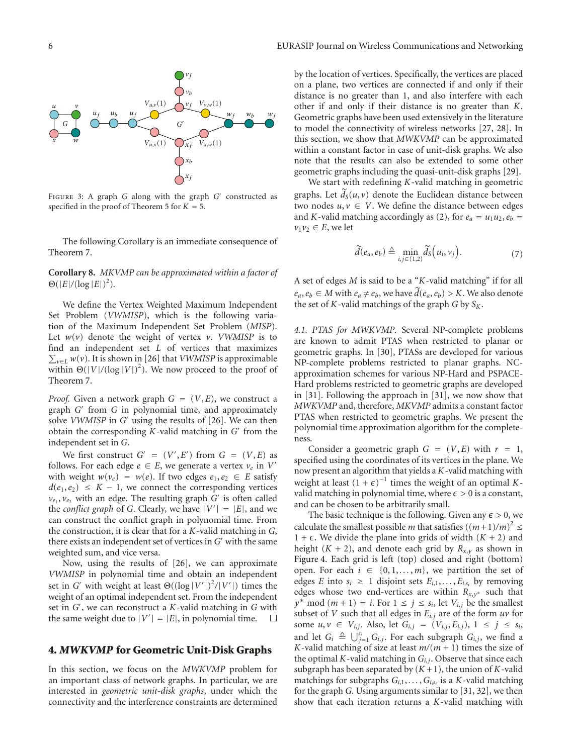

FIGURE 3: A graph *G* along with the graph *G'* constructed as specified in the proof of Theorem 5 for *<sup>K</sup>* <sup>=</sup> 5.

The following Corollary is an immediate consequence of Theorem 7.

# **Corollary 8.** *MKVMP can be approximated within a factor of*  $\Theta(|E|/(\log |E|)^2)$ .

We define the Vertex Weighted Maximum Independent Set Problem (*VWMISP*), which is the following variation of the Maximum Independent Set Problem (*MISP*). Let  $w(v)$  denote the weight of vertex  $v$ . *VWMISP* is to  $\sum_{v \in L} w(v)$ . It is shown in [26] that *VWMISP* is approximable find an independent set *L* of vertices that maximizes within  $\Theta(|V|/(\log |V|)^2)$ . We now proceed to the proof of Theorem 7.

*Proof.* Given a network graph  $G = (V, E)$ , we construct a graph *G* from *G* in polynomial time, and approximately solve *VWMISP* in *G'* using the results of [26]. We can then obtain the corresponding *K*-valid matching in *G'* from the independent set in *G*.

We first construct  $G' = (V', E')$  from  $G = (V, E)$  as follows. For each edge  $e \in E$ , we generate a vertex  $v_e$  in  $V'$ with weight  $w(v_e) = w(e)$ . If two edges  $e_1, e_2 \in E$  satisfy  $d(e_1, e_2) \leq K - 1$ , we connect the corresponding vertices  $v_{e_1}, v_{e_2}$  with an edge. The resulting graph *G'* is often called the *conflict graph* of *G*. Clearly, we have  $|V'| = |E|$ , and we can construct the conflict graph in polynomial time. From the construction, it is clear that for a *K*-valid matching in *G*, there exists an independent set of vertices in *G*' with the same weighted sum, and vice versa.

Now, using the results of [26], we can approximate *VWMISP* in polynomial time and obtain an independent set in *G'* with weight at least  $\Theta((\log |V'|)^2/|V'|)$  times the weight of an optimal independent set. From the independent set in *G* , we can reconstruct a *K*-valid matching in *G* with the same weight due to  $|V'| = |E|$ , in polynomial time.  $\Box$ 

## **4. MWKVMP for Geometric Unit-Disk Graphs**

In this section, we focus on the *MWKVMP* problem for an important class of network graphs. In particular, we are interested in *geometric unit-disk graphs*, under which the connectivity and the interference constraints are determined

by the location of vertices. Specifically, the vertices are placed on a plane, two vertices are connected if and only if their distance is no greater than 1, and also interfere with each other if and only if their distance is no greater than *K*. Geometric graphs have been used extensively in the literature to model the connectivity of wireless networks [27, 28]. In this section, we show that *MWKVMP* can be approximated within a constant factor in case of unit-disk graphs. We also note that the results can also be extended to some other geometric graphs including the quasi-unit-disk graphs [29].

We start with redefining *K*-valid matching in geometric graphs. Let  $\widetilde{d}_S(u, v)$  denote the Euclidean distance between two nodes  $u, v \in V$ . We define the distance between edges and *K*-valid matching accordingly as (2), for  $e_a = u_1 u_2$ ,  $e_b =$  $v_1v_2 \in E$ , we let

$$
\widetilde{d}(e_a, e_b) \triangleq \min_{i,j \in \{1,2\}} \widetilde{d}_S(u_i, v_j).
$$
\n(7)

A set of edges *M* is said to be a "*K*-valid matching" if for all  $e_a, e_b \in M$  with  $e_a \neq e_b$ , we have  $\tilde{d}(e_a, e_b) > K$ . We also denote the set of  $K$ -valid matchings of the graph  $G$  by  $S_K$ .

*4.1. PTAS for MWKVMP.* Several NP-complete problems are known to admit PTAS when restricted to planar or geometric graphs. In [30], PTASs are developed for various NP-complete problems restricted to planar graphs. NCapproximation schemes for various NP-Hard and PSPACE-Hard problems restricted to geometric graphs are developed in [31]. Following the approach in [31], we now show that *MWKVMP* and, therefore, *MKVMP* admits a constant factor PTAS when restricted to geometric graphs. We present the polynomial time approximation algorithm for the completeness.

Consider a geometric graph  $G = (V, E)$  with  $r = 1$ , specified using the coordinates of its vertices in the plane. We now present an algorithm that yields a *K*-valid matching with weight at least  $(1 + \epsilon)^{-1}$  times the weight of an optimal *K*valid matching in polynomial time, where  $\epsilon > 0$  is a constant, and can be chosen to be arbitrarily small.

The basic technique is the following. Given any  $\epsilon > 0$ , we calculate the smallest possible *m* that satisfies  $((m+1)/m)^2 \le$  $1 + \epsilon$ . We divide the plane into grids of width  $(K + 2)$  and height  $(K + 2)$ , and denote each grid by  $R_{x,y}$  as shown in Figure 4. Each grid is left (top) closed and right (bottom) open. For each  $i \in \{0, 1, \ldots, m\}$ , we partition the set of edges *E* into  $s_i \geq 1$  disjoint sets  $E_{i,1}, \ldots, E_{i,s_i}$  by removing edges whose two end-vertices are within *Rx*,*y*<sup>∗</sup> such that *y*<sup>∗</sup> mod  $(m + 1) = i$ . For  $1 ≤ j ≤ s<sub>i</sub>$ , let  $V<sub>i,j</sub>$  be the smallest subset of *V* such that all edges in  $E_{i,j}$  are of the form *uv* for some *u*, *v* ∈ *V*<sub>*i*,*j*</sub>. Also, let *G*<sub>*i*,*j*</sub> = (*V*<sub>*i*,*j*</sub>, *E*<sub>*i*,*j*), 1 ≤ *j* ≤ *s*<sub>*i*</sub>,</sub> and let  $G_i \triangleq \bigcup_{j=1}^{s_i} G_{i,j}$ . For each subgraph  $G_{i,j}$ , we find a *K*-valid matching of size at least  $m/(m + 1)$  times the size of the optimal *K*-valid matching in  $G_{i,j}$ . Observe that since each subgraph has been separated by  $(K + 1)$ , the union of  $K$ -valid matchings for subgraphs  $G_{i,1}, \ldots, G_{i,s_i}$  is a *K*-valid matching for the graph *G*. Using arguments similar to [31, 32], we then show that each iteration returns a *K*-valid matching with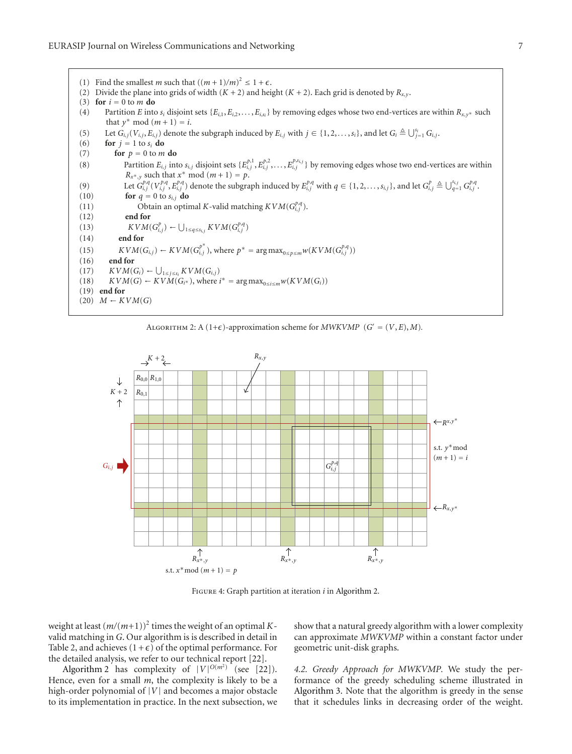#### EURASIP Journal on Wireless Communications and Networking 7

(1) Find the smallest *m* such that  $((m + 1)/m)^2 \le 1 + \epsilon$ . (2) Divide the plane into grids of width  $(K + 2)$  and height  $(K + 2)$ . Each grid is denoted by  $R_{x,y}$ . (3) **for**  $i = 0$  to *m* **do**<br>(4) Partition *E* into Partition *E* into *s<sub>i</sub>* disjoint sets { $E_{i,1}, E_{i,2}, \ldots, E_{i,s_i}$ } by removing edges whose two end-vertices are within  $R_{x,y*}$  such that  $y^* \text{ mod } (m+1) = i$ . (5) Let  $G_{i,j}(V_{i,j}, E_{i,j})$  denote the subgraph induced by  $E_{i,j}$  with  $j \in \{1, 2, ..., s_i\}$ , and let  $G_i \triangleq \bigcup_{j=1}^{s_i} G_{i,j}$ (6) **for**  $j = 1$  to  $s_i$  **do**<br>(7) **for**  $p = 0$  to *m* for  $p = 0$  to  $m$  do (8) Partition  $E_{i,j}$  into  $s_{i,j}$  disjoint sets  $\{E_{i,j}^{p,1}, E_{i,j}^{p,2}, \ldots, E_{i,j}^{p,s_{i,j}}\}$  by removing edges whose two end-vertices are within *R<sub>x</sub>*∗,*y* such that *x*<sup>\*</sup> mod  $(m + 1) = p$ . (9) Let  $G_{i,j}^{p,q}(V_{i,j}^{p,q}, E_{i,j}^{p,q})$  denote the subgraph induced by  $E_{i,j}^{p,q}$  with  $q \in \{1, 2, ..., s_{i,j}\}$ , and let  $G_{i,j}^p \triangleq \bigcup_{q=1}^{s_{i,j}} G_{i,j}^{p,q}$ . (10) **for**  $q = 0$  to  $s_{i,j}$  **do**<br>(11) **b** Obtain an optin (11) Obtain an optimal *K*-valid matching  $KVM(G_{i,j}^{p,q})$ . (12) **end for** (13)  $KWM(G_{i,j}^p) \leftarrow \bigcup_{1 \le q \le s_{i,j}} KVM(G_{i,j}^{p,q})$ (14) **end for** (15)  $KVM(G_{i,j}) \leftarrow KVM(G_{i,j}^{p^*})$ , where  $p^* = \arg \max_{0 \le p \le m} w(KVM(G_{i,j}^{p,q}))$ (16) **end for**  $\mathcal{L}(17)$   $KVM(G_i) \leftarrow \bigcup_{1 \leq j \leq s_i} KVM(G_{i,j})$  $(KVM(G) \leftarrow KVM(G_{i^*}),$  where  $i^* = \arg \max_{0 \le i \le m} w(KVM(G_i))$ (19) **end for**  $(20)$  *M* ← *KVM*(*G*)

ALGORITHM 2: A (1+ $\epsilon$ )-approximation scheme for *MWKVMP* (*G*<sup> $\epsilon$ </sup> = (*V*,*E*), *M*).



Figure 4: Graph partition at iteration *i* in Algorithm 2.

weight at least  $(m/(m+1))^2$  times the weight of an optimal *K*valid matching in *G*. Our algorithm is is described in detail in Table 2, and achieves  $(1+\epsilon)$  of the optimal performance. For the detailed analysis, we refer to our technical report [22].

Algorithm 2 has complexity of  $|V|^{O(m^2)}$  (see [22]). Hence, even for a small *m*, the complexity is likely to be a high-order polynomial of <sup>|</sup>*V*<sup>|</sup> and becomes a major obstacle to its implementation in practice. In the next subsection, we show that a natural greedy algorithm with a lower complexity can approximate *MWKVMP* within a constant factor under geometric unit-disk graphs.

*4.2. Greedy Approach for MWKVMP.* We study the performance of the greedy scheduling scheme illustrated in Algorithm 3. Note that the algorithm is greedy in the sense that it schedules links in decreasing order of the weight.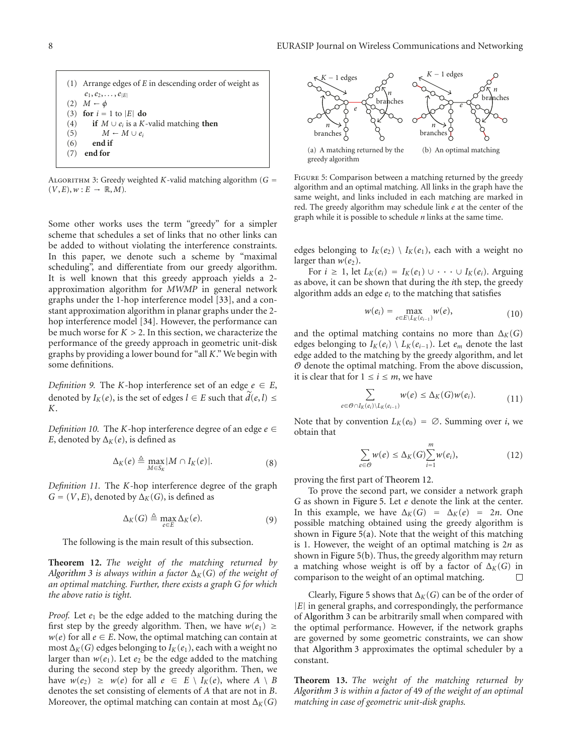|     | $(1)$ Arrange edges of E in descending order of weight as |
|-----|-----------------------------------------------------------|
|     | $e_1, e_2, \ldots, e_{ E }$                               |
|     | $(2)$ $M - \phi$                                          |
|     | (3) for $i = 1$ to  E  do                                 |
|     | (4) if $M \cup e_i$ is a K-valid matching then            |
|     | (5) $M \leftarrow M \cup e_i$                             |
| (6) | end if                                                    |
| (7) | end for                                                   |

Algorithm 3: Greedy weighted *<sup>K</sup>*-valid matching algorithm (*<sup>G</sup>* <sup>=</sup>  $(V, E), w : E \rightarrow \mathbb{R}, M$ ).

Some other works uses the term "greedy" for a simpler scheme that schedules a set of links that no other links can be added to without violating the interference constraints. In this paper, we denote such a scheme by "maximal scheduling", and differentiate from our greedy algorithm. It is well known that this greedy approach yields a 2 approximation algorithm for *MWMP* in general network graphs under the 1-hop interference model [33], and a constant approximation algorithm in planar graphs under the 2 hop interference model [34]. However, the performance can be much worse for  $K > 2$ . In this section, we characterize the performance of the greedy approach in geometric unit-disk graphs by providing a lower bound for "all *K*." We begin with some definitions.

*Definition 9.* The *K*-hop interference set of an edge  $e \in E$ , denoted by  $I_K(e)$ , is the set of edges  $l \in E$  such that  $\widetilde{d}(e, l) \leq$ *K*.

*Definition 10.* The *K*-hop interference degree of an edge  $e \in$ *E*, denoted by  $\Delta_K(e)$ , is defined as

$$
\Delta_K(e) \triangleq \max_{M \in S_K} |M \cap I_K(e)|. \tag{8}
$$

*Definition 11.* The *K*-hop interference degree of the graph  $G = (V, E)$ , denoted by  $\Delta_K(G)$ , is defined as

$$
\Delta_K(G) \triangleq \max_{e \in E} \Delta_K(e). \tag{9}
$$

The following is the main result of this subsection.

**Theorem 12.** *The weight of the matching returned by Algorithm 3 is always within a factor*  $\Delta_K(G)$  *of the weight of an optimal matching. Further, there exists a graph G for which the above ratio is tight.*

*Proof.* Let  $e_1$  be the edge added to the matching during the first step by the greedy algorithm. Then, we have  $w(e_1) \geq$  $w(e)$  for all  $e \in E$ . Now, the optimal matching can contain at most  $\Delta_K(G)$  edges belonging to  $I_K(e_1)$ , each with a weight no larger than  $w(e_1)$ . Let  $e_2$  be the edge added to the matching during the second step by the greedy algorithm. Then, we have  $w(e_2) \geq w(e)$  for all  $e \in E \setminus I_K(e)$ , where  $A \setminus B$ denotes the set consisting of elements of *A* that are not in *B*. Moreover, the optimal matching can contain at most  $\Delta_K(G)$ 



FIGURE 5: Comparison between a matching returned by the greedy algorithm and an optimal matching. All links in the graph have the same weight, and links included in each matching are marked in red. The greedy algorithm may schedule link *e* at the center of the graph while it is possible to schedule *n* links at the same time.

edges belonging to  $I_K(e_2) \setminus I_K(e_1)$ , each with a weight no larger than  $w(e_2)$ .

For *i* ≥ 1, let  $L_K(e_i) = I_K(e_1) ∪ ⋯ ∪ I_K(e_i)$ . Arguing as above, it can be shown that during the *i*th step, the greedy algorithm adds an edge *ei* to the matching that satisfies

$$
w(e_i) = \max_{e \in E \setminus L_K(e_{i-1})} w(e), \qquad (10)
$$

and the optimal matching contains no more than  $\Delta_K(G)$ edges belonging to  $I_K(e_i) \setminus L_K(e_{i-1})$ . Let  $e_m$  denote the last edge added to the matching by the greedy algorithm, and let O denote the optimal matching. From the above discussion, it is clear that for  $1 \le i \le m$ , we have

$$
\sum_{e \in \mathcal{O} \cap I_K(e_i) \setminus L_K(e_{i-1})} w(e) \leq \Delta_K(G) w(e_i). \tag{11}
$$

Note that by convention  $L_K(e_0) = \emptyset$ . Summing over *i*, we obtain that

$$
\sum_{e \in \mathcal{O}} w(e) \le \Delta_K(G) \sum_{i=1}^m w(e_i), \tag{12}
$$

proving the first part of Theorem 12.

To prove the second part, we consider a network graph *G* as shown in Figure 5. Let *e* denote the link at the center. In this example, we have  $\Delta_K(G) = \Delta_K(e) = 2n$ . One possible matching obtained using the greedy algorithm is shown in Figure  $5(a)$ . Note that the weight of this matching is 1. However, the weight of an optimal matching is 2*n* as shown in Figure 5(b). Thus, the greedy algorithm may return a matching whose weight is off by a factor of  $\Delta_K(G)$  in comparison to the weight of an optimal matching.  $\Box$ 

Clearly, Figure 5 shows that  $\Delta_K(G)$  can be of the order of <sup>|</sup>*E*<sup>|</sup> in general graphs, and correspondingly, the performance of Algorithm 3 can be arbitrarily small when compared with the optimal performance. However, if the network graphs are governed by some geometric constraints, we can show that Algorithm 3 approximates the optimal scheduler by a constant.

**Theorem 13.** *The weight of the matching returned by Algorithm 3 is within a factor of* 49 *of the weight of an optimal matching in case of geometric unit-disk graphs.*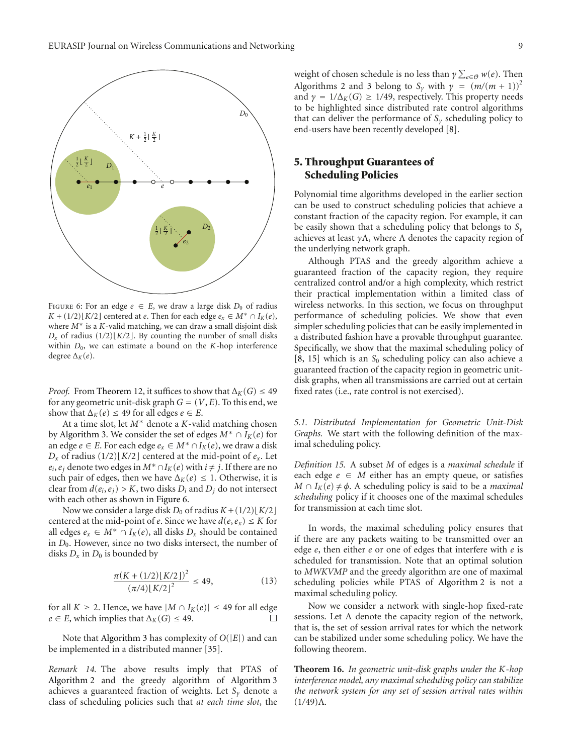

FIGURE 6: For an edge  $e \in E$ , we draw a large disk  $D_0$  of radius  $K + (1/2)[K/2]$  centered at *e*. Then for each edge  $e_x \in M^* \cap I_K(e)$ , where *M*<sup>∗</sup> is a *K*-valid matching, we can draw a small disjoint disk  $D_x$  of radius  $(1/2)[K/2]$ . By counting the number of small disks within  $D_0$ , we can estimate a bound on the  $K$ -hop interference degree  $\Delta_K(e)$ .

*Proof.* From Theorem 12, it suffices to show that  $\Delta_K(G) \leq 49$ for any geometric unit-disk graph  $G = (V, E)$ . To this end, we show that  $\Delta_K(e) \leq 49$  for all edges  $e \in E$ .

At a time slot, let *M*<sup>∗</sup> denote a *K*-valid matching chosen by Algorithm 3. We consider the set of edges  $M^* \cap I_K(e)$  for an edge  $e \in E$ . For each edge  $e_x \in M^* \cap I_K(e)$ , we draw a disk  $D_x$  of radius (1/2)[ $K/2$ ] centered at the mid-point of  $e_x$ . Let  $e_i$ ,  $e_j$  denote two edges in  $M^* \cap I_K(e)$  with  $i \neq j$ . If there are no such pair of edges, then we have  $\Delta_K(e) \leq 1$ . Otherwise, it is clear from  $d(e_i, e_j) > K$ , two disks  $D_i$  and  $D_j$  do not intersect with each other as shown in Figure 6.

Now we consider a large disk  $D_0$  of radius  $K + (1/2)[K/2]$ centered at the mid-point of *e*. Since we have  $d(e, e_x) \le K$  for all edges  $e_x \in M^* \cap I_K(e)$ , all disks  $D_x$  should be contained in *D*0. However, since no two disks intersect, the number of disks  $D_x$  in  $D_0$  is bounded by

$$
\frac{\pi (K + (1/2)|K/2|)^2}{(\pi/4)|K/2|^2} \le 49,\tag{13}
$$

for all *K* ≥ 2. Hence, we have  $|M ∩ I_K(e)|$  ≤ 49 for all edge  $e \in E$ , which implies that  $\Delta_K(G) \leq 49$ .

Note that Algorithm 3 has complexity of *<sup>O</sup>*(|*E*|) and can be implemented in a distributed manner [35].

*Remark 14.* The above results imply that PTAS of Algorithm 2 and the greedy algorithm of Algorithm 3 achieves a guaranteed fraction of weights. Let *Sγ* denote a class of scheduling policies such that *at each time slot*, the

weight of chosen schedule is no less than  $\gamma \sum_{e \in \mathcal{O}} w(e)$ . Then Algorithms 2 and 3 belong to  $S_\gamma$  with  $\gamma = (m/(m+1))^2$ and  $\gamma = 1/\Delta_K(G) \geq 1/49$ , respectively. This property needs to be highlighted since distributed rate control algorithms that can deliver the performance of *Sγ* scheduling policy to end-users have been recently developed [8].

# **5. Throughput Guarantees of Scheduling Policies**

Polynomial time algorithms developed in the earlier section can be used to construct scheduling policies that achieve a constant fraction of the capacity region. For example, it can be easily shown that a scheduling policy that belongs to *Sγ* achieves at least *γ*Λ, where Λ denotes the capacity region of the underlying network graph.

Although PTAS and the greedy algorithm achieve a guaranteed fraction of the capacity region, they require centralized control and/or a high complexity, which restrict their practical implementation within a limited class of wireless networks. In this section, we focus on throughput performance of scheduling policies. We show that even simpler scheduling policies that can be easily implemented in a distributed fashion have a provable throughput guarantee. Specifically, we show that the maximal scheduling policy of [8, 15] which is an  $S_0$  scheduling policy can also achieve a guaranteed fraction of the capacity region in geometric unitdisk graphs, when all transmissions are carried out at certain fixed rates (i.e., rate control is not exercised).

*5.1. Distributed Implementation for Geometric Unit-Disk Graphs.* We start with the following definition of the maximal scheduling policy.

*Definition 15.* A subset *M* of edges is a *maximal schedule* if each edge  $e \in M$  either has an empty queue, or satisfies  $M \cap I_K(e) \neq \emptyset$ . A scheduling policy is said to be a *maximal scheduling* policy if it chooses one of the maximal schedules for transmission at each time slot.

In words, the maximal scheduling policy ensures that if there are any packets waiting to be transmitted over an edge *e*, then either *e* or one of edges that interfere with *e* is scheduled for transmission. Note that an optimal solution to *MWKVMP* and the greedy algorithm are one of maximal scheduling policies while PTAS of Algorithm 2 is not a maximal scheduling policy.

Now we consider a network with single-hop fixed-rate sessions. Let Λ denote the capacity region of the network, that is, the set of session arrival rates for which the network can be stabilized under some scheduling policy. We have the following theorem.

**Theorem 16.** *In geometric unit-disk graphs under the K-hop interference model, any maximal scheduling policy can stabilize the network system for any set of session arrival rates within* (1*/*49)Λ*.*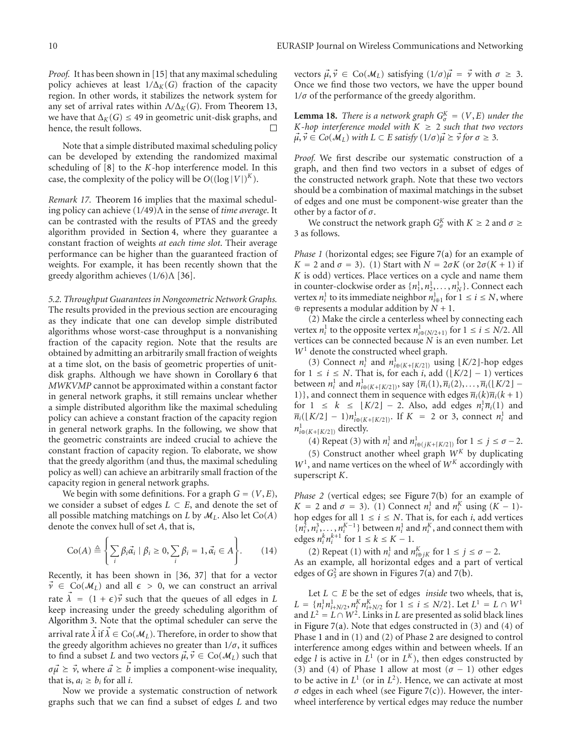*Proof.* It has been shown in [15] that any maximal scheduling policy achieves at least  $1/\Delta_K(G)$  fraction of the capacity region. In other words, it stabilizes the network system for any set of arrival rates within  $\Lambda/\Delta_K(G)$ . From Theorem 13, we have that  $\Delta_K(G) \leq 49$  in geometric unit-disk graphs, and hence, the result follows. hence, the result follows.

Note that a simple distributed maximal scheduling policy can be developed by extending the randomized maximal scheduling of [8] to the *K*-hop interference model. In this case, the complexity of the policy will be  $O((\log |V|)^K)$ .

*Remark 17.* Theorem 16 implies that the maximal scheduling policy can achieve (1*/*49)Λ in the sense of *time average*. It can be contrasted with the results of PTAS and the greedy algorithm provided in Section 4, where they guarantee a constant fraction of weights *at each time slot*. Their average performance can be higher than the guaranteed fraction of weights. For example, it has been recently shown that the greedy algorithm achieves (1*/*6)Λ [36].

*5.2. Throughput Guarantees in Nongeometric Network Graphs.* The results provided in the previous section are encouraging as they indicate that one can develop simple distributed algorithms whose worst-case throughput is a nonvanishing fraction of the capacity region. Note that the results are obtained by admitting an arbitrarily small fraction of weights at a time slot, on the basis of geometric properties of unitdisk graphs. Although we have shown in Corollary 6 that *MWKVMP* cannot be approximated within a constant factor in general network graphs, it still remains unclear whether a simple distributed algorithm like the maximal scheduling policy can achieve a constant fraction of the capacity region in general network graphs. In the following, we show that the geometric constraints are indeed crucial to achieve the constant fraction of capacity region. To elaborate, we show that the greedy algorithm (and thus, the maximal scheduling policy as well) can achieve an arbitrarily small fraction of the capacity region in general network graphs.

We begin with some definitions. For a graph  $G = (V, E)$ , we consider a subset of edges  $L \subset E$ , and denote the set of all possible matching matchings on *L* by  $\mathcal{M}_L$ . Also let  $Co(A)$ denote the convex hull of set *A*, that is,

$$
Co(A) \triangleq \left\{ \sum_{i} \beta_{i} \vec{\alpha}_{i} \mid \beta_{i} \geq 0, \sum_{i} \beta_{i} = 1, \vec{\alpha}_{i} \in A \right\}.
$$
 (14)

Recently, it has been shown in [36, 37] that for a vector  $\vec{v} \in \text{Co}(\mathcal{M}_L)$  and all  $\epsilon > 0$ , we can construct an arrival rate  $\vec{\lambda} = (1 + \epsilon)\vec{v}$  such that the queues of all edges in *L* keep increasing under the greedy scheduling algorithm of Algorithm 3. Note that the optimal scheduler can serve the arrival rate  $\lambda$  if  $\lambda \in \text{Co}(\mathcal{M}_L)$ . Therefore, in order to show that the greedy algorithm achieves no greater than  $1/\sigma$ , it suffices to find a subset *L* and two vectors  $\vec{\mu}, \vec{\nu} \in \text{Co}(\mathcal{M}_L)$  such that  $\sigma \vec{\mu} \geq \vec{\nu}$ , where  $\vec{a} \geq \vec{b}$  implies a component-wise inequality, that is,  $a_i \geq b_i$  for all *i*.

Now we provide a systematic construction of network graphs such that we can find a subset of edges *L* and two

vectors  $\vec{\mu}, \vec{\nu} \in \text{Co}(\mathcal{M}_L)$  satisfying  $(1/\sigma)\vec{\mu} = \vec{\nu}$  with  $\sigma \geq 3$ . Once we find those two vectors, we have the upper bound  $1/\sigma$  of the performance of the greedy algorithm.

**Lemma 18.** *There is a network graph*  $G^K_\sigma = (V, E)$  *under the K-hop interference model with*  $K \geq 2$  *such that two vectors*  $\vec{\mu}, \vec{\nu} \in Co(\mathcal{M}_L)$  *with*  $L \subset E$  *satisfy*  $(1/\sigma)\vec{\mu} \geq \vec{\nu}$  for  $\sigma \geq 3$ .

*Proof.* We first describe our systematic construction of a graph, and then find two vectors in a subset of edges of the constructed network graph. Note that these two vectors should be a combination of maximal matchings in the subset of edges and one must be component-wise greater than the other by a factor of *σ*.

We construct the network graph  $G^K_{\sigma}$  with  $K \geq 2$  and  $\sigma \geq 0$ 3 as follows.

*Phase 1* (horizontal edges; see Figure 7(a) for an example of *K* = 2 and  $\sigma$  = 3). (1) Start with *N* = 2 $\sigma K$  (or 2 $\sigma (K + 1)$  if *K* is odd) vertices. Place vertices on a cycle and name them in counter-clockwise order as  $\{n_1^1, n_2^1, \ldots, n_N^1\}$ . Connect each vertex  $n_i^1$  to its immediate neighbor  $n_{i \oplus 1}^1$  for  $1 \le i \le N$ , where <sup>⊕</sup> represents a modular addition by *<sup>N</sup>* + 1.

(2) Make the circle a centerless wheel by connecting each vertex  $n_i^1$  to the opposite vertex  $n_{i\oplus(N/2+1)}^1$  for  $1 \le i \le N/2$ . All vertices can be connected because *N* is an even number. Let *W*<sup>1</sup> denote the constructed wheel graph.

(3) Connect  $n_i^1$  and  $n_{i\oplus (K+[K/2])}^1$  using  $\lfloor K/2 \rfloor$ -hop edges for  $1 \le i \le N$ . That is, for each *i*, add ([ $K/2$ ] − 1) vertices between  $n_i^1$  and  $n_{i\oplus (K+[K/2])}^1$ , say  $\{\overline{n}_i(1), \overline{n}_i(2), \ldots, \overline{n}_i(\lfloor K/2 \rfloor - 1)\}$ 1)}, and connect them in sequence with edges  $\overline{n}_i(k)\overline{n}_i(k+1)$ for  $1 \leq k \leq \lfloor K/2 \rfloor - 2$ . Also, add edges  $n_i^1 \overline{n}_i(1)$  and  $\overline{n}_i([K/2] - 1)n_{i\oplus(K+[K/2])}^1$ . If  $K = 2$  or 3, connect  $n_i^1$  and  $n_{i\oplus(K+[K/2])}^1$  directly.

(4) Repeat (3) with *n*<sup>1</sup><sub>*i*</sub> and *n*<sup>1</sup><sub>*i*⊕(*jK*+*[K/2]*) for 1 ≤ *j* ≤ *σ* − 2.</sub>

(5) Construct another wheel graph  $W^{K}$  by duplicating *W*1, and name vertices on the wheel of *WK* accordingly with superscript *K*.

*Phase 2* (vertical edges; see Figure 7(b) for an example of *K* = 2 and  $\sigma$  = 3). (1) Connect  $n_i^1$  and  $n_i^K$  using  $(K - 1)$ hop edges for all  $1 \le i \le N$ . That is, for each *i*, add vertices  ${n_i^2, n_i^3, \ldots, n_i^{K-1}}$  between  $n_i^1$  and  $n_i^K$ , and connect them with  $\text{edges } n_i^k n_i^{k+1} \text{ for } 1 \le k \le K - 1.$ 

(2) Repeat (1) with  $n_i^1$  and  $n_{i \oplus jK}^K$  for  $1 \le j \le \sigma - 2$ . As an example, all horizontal edges and a part of vertical edges of  $G_3^2$  are shown in Figures 7(a) and 7(b).

Let  $L \subset E$  be the set of edges *inside* two wheels, that is,  $L = \{n_i^1 n_{i+N/2}^1, n_i^K n_{i+N/2}^K \text{ for } 1 \le i \le N/2\}$ . Let  $L^1 = L \cap W^1$ and  $L^2 = L \cap W^2$ . Links in *L* are presented as solid black lines in Figure 7(a). Note that edges constructed in (3) and (4) of Phase 1 and in (1) and (2) of Phase 2 are designed to control interference among edges within and between wheels. If an edge *l* is active in  $L^1$  (or in  $L^K$ ), then edges constructed by (3) and (4) of Phase 1 allow at most  $(\sigma - 1)$  other edges to be active in  $L^1$  (or in  $L^2$ ). Hence, we can activate at most  $\sigma$  edges in each wheel (see Figure 7(c)). However, the interwheel interference by vertical edges may reduce the number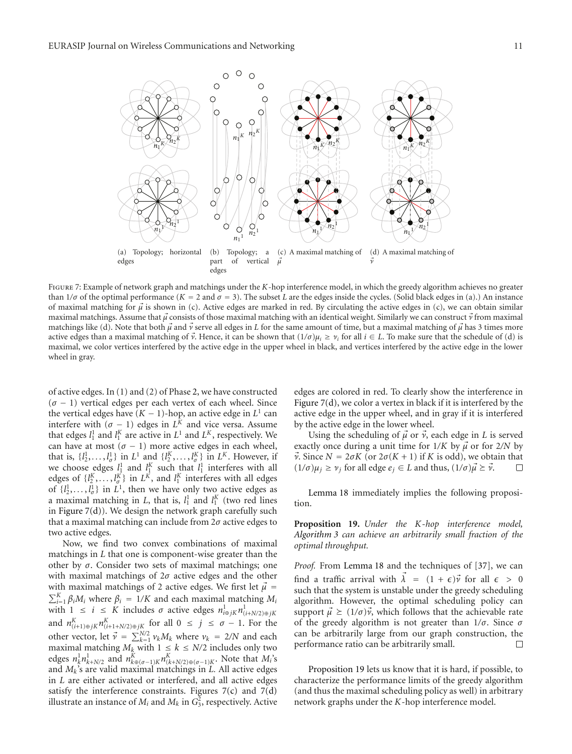

Figure 7: Example of network graph and matchings under the *K*-hop interference model, in which the greedy algorithm achieves no greater than  $1/\sigma$  of the optimal performance ( $K = 2$  and  $\sigma = 3$ ). The subset *L* are the edges inside the cycles. (Solid black edges in (a).) An instance of maximal matching for  $\vec{\mu}$  is shown in (c). Active edges are marked in red. By circulating the active edges in (c), we can obtain similar maximal matchings. Assume that *μ* consists of those maximal matching with an identical weight. Similarly we can construct*ν* from maximal matchings like (d). Note that both  $\vec{\mu}$  and  $\vec{\nu}$  serve all edges in *L* for the same amount of time, but a maximal matching of  $\vec{\mu}$  has 3 times more active edges than a maximal matching of  $\vec{v}$ . Hence, it can be shown that  $(1/\sigma)\mu_i \geq v_i$  for all  $i \in L$ . To make sure that the schedule of (d) is maximal, we color vertices interfered by the active edge in the upper wheel in black, and vertices interfered by the active edge in the lower wheel in gray.

of active edges. In (1) and (2) of Phase 2, we have constructed  $(\sigma - 1)$  vertical edges per each vertex of each wheel. Since the vertical edges have  $(K − 1)$ -hop, an active edge in  $L<sup>1</sup>$  can interfere with  $(\sigma - 1)$  edges in  $L^{K}$  and vice versa. Assume that edges  $l_1^1$  and  $l_1^K$  are active in  $L^1$  and  $L^K$ , respectively. We can have at most  $(\sigma - 1)$  more active edges in each wheel, that is,  $\{l_2^1, \ldots, l_\sigma^1\}$  in  $L^1$  and  $\{l_2^K, \ldots, l_\sigma^K\}$  in  $L^K$ . However, if we choose edges  $l_1^1$  and  $l_1^K$  such that  $l_1^1$  interferes with all edges of  $\{l_2^K, \ldots, l_{\sigma}^K\}$  in  $L^K$ , and  $l_1^K$  interferes with all edges of  $\{l_2^1, \ldots, l_\sigma^1\}$  in  $L^1$ , then we have only two active edges as a maximal matching in *L*, that is,  $l_1^1$  and  $l_1^K$  (two red lines in Figure 7(d)). We design the network graph carefully such that a maximal matching can include from 2*σ* active edges to two active edges.

Now, we find two convex combinations of maximal matchings in *L* that one is component-wise greater than the other by *σ*. Consider two sets of maximal matchings; one with maximal matchings of 2*σ* active edges and the other with maximal matchings of 2 active edges. We first let  $\vec{\mu}$  =  $\sum_{i=1}^{K} \beta_i M_i$  where  $\beta_i = 1/K$  and each maximal matching *M<sub>i</sub>* with  $1 \leq i \leq K$  includes  $\sigma$  active edges  $n_{i\oplus jK}^1 n_{(i+N/2)\oplus jK}^1$ and  $n_{(i+1)\oplus jK}^K n_{(i+1+N/2)\oplus jK}^K$  for all  $0 \leq j \leq \sigma - 1$ . For the other vector, let  $\vec{v} = \sum_{k=1}^{N/2} v_k M_k$  where  $v_k = 2/N$  and each maximal matching  $M_k$  with  $1 \leq k \leq N/2$  includes only two edges  $n_k^1 n_{k+N/2}^1$  and  $n_{k\oplus(\sigma-1)K}^K n_{(k+N/2)\oplus(\sigma-1)K}^K$ . Note that  $M_i$ 's and *Mk*'s are valid maximal matchings in *L.* All active edges in *L* are either activated or interfered, and all active edges satisfy the interference constraints. Figures  $7(c)$  and  $7(d)$ illustrate an instance of  $M_i$  and  $M_k$  in  $G_3^2$ , respectively. Active

edges are colored in red. To clearly show the interference in Figure  $7(d)$ , we color a vertex in black if it is interfered by the active edge in the upper wheel, and in gray if it is interfered by the active edge in the lower wheel.

Using the scheduling of  $\vec{\mu}$  or  $\vec{\nu}$ , each edge in *L* is served exactly once during a unit time for 1*/K* by *μ* or for 2*/N* by  $\vec{v}$ . Since *N* = 2*σK* (or 2*σ*(*K* + 1) if *K* is odd), we obtain that  $(1/\sigma)\mu_i \ge \nu_i$  for all edge  $e_i \in L$  and thus,  $(1/\sigma)\vec{\mu} \ge \vec{\nu}$ .  $(1/\sigma)\mu_i \geq \nu_i$  for all edge  $e_i \in L$  and thus,  $(1/\sigma)\vec{\mu} \geq \vec{\nu}$ .

Lemma 18 immediately implies the following proposition.

**Proposition 19.** *Under the K-hop interference model, Algorithm 3 can achieve an arbitrarily small fraction of the optimal throughput.*

*Proof.* From Lemma 18 and the techniques of [37], we can find a traffic arrival with  $\vec{\lambda} = (1 + \epsilon)\vec{v}$  for all  $\epsilon > 0$ such that the system is unstable under the greedy scheduling algorithm. However, the optimal scheduling policy can support  $\vec{\mu} \geq (1/\sigma)\vec{v}$ , which follows that the achievable rate of the greedy algorithm is not greater than 1*/σ*. Since *σ* can be arbitrarily large from our graph construction, the performance ratio can be arbitrarily small.  $\Box$ 

Proposition 19 lets us know that it is hard, if possible, to characterize the performance limits of the greedy algorithm (and thus the maximal scheduling policy as well) in arbitrary network graphs under the *K*-hop interference model.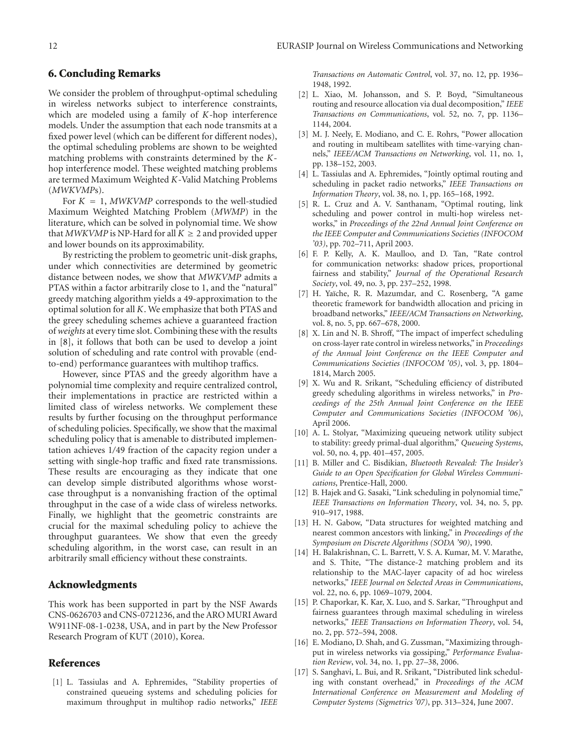## **6. Concluding Remarks**

We consider the problem of throughput-optimal scheduling in wireless networks subject to interference constraints, which are modeled using a family of *K*-hop interference models. Under the assumption that each node transmits at a fixed power level (which can be different for different nodes), the optimal scheduling problems are shown to be weighted matching problems with constraints determined by the *K*hop interference model. These weighted matching problems are termed Maximum Weighted *K*-Valid Matching Problems (*MWKVMP*s).

For  $K = 1$ , *MWKVMP* corresponds to the well-studied Maximum Weighted Matching Problem (*MWMP*) in the literature, which can be solved in polynomial time. We show that *MWKVMP* is NP-Hard for all  $K \geq 2$  and provided upper and lower bounds on its approximability.

By restricting the problem to geometric unit-disk graphs, under which connectivities are determined by geometric distance between nodes, we show that *MWKVMP* admits a PTAS within a factor arbitrarily close to 1, and the "natural" greedy matching algorithm yields a 49-approximation to the optimal solution for all *K*. We emphasize that both PTAS and the greey scheduling schemes achieve a guaranteed fraction of *weights* at every time slot. Combining these with the results in [8], it follows that both can be used to develop a joint solution of scheduling and rate control with provable (endto-end) performance guarantees with multihop traffics.

However, since PTAS and the greedy algorithm have a polynomial time complexity and require centralized control, their implementations in practice are restricted within a limited class of wireless networks. We complement these results by further focusing on the throughput performance of scheduling policies. Specifically, we show that the maximal scheduling policy that is amenable to distributed implementation achieves 1*/*49 fraction of the capacity region under a setting with single-hop traffic and fixed rate transmissions. These results are encouraging as they indicate that one can develop simple distributed algorithms whose worstcase throughput is a nonvanishing fraction of the optimal throughput in the case of a wide class of wireless networks. Finally, we highlight that the geometric constraints are crucial for the maximal scheduling policy to achieve the throughput guarantees. We show that even the greedy scheduling algorithm, in the worst case, can result in an arbitrarily small efficiency without these constraints.

#### **Acknowledgments**

This work has been supported in part by the NSF Awards CNS-0626703 and CNS-0721236, and the ARO MURI Award W911NF-08-1-0238, USA, and in part by the New Professor Research Program of KUT (2010), Korea.

#### **References**

[1] L. Tassiulas and A. Ephremides, "Stability properties of constrained queueing systems and scheduling policies for maximum throughput in multihop radio networks," *IEEE* *Transactions on Automatic Control*, vol. 37, no. 12, pp. 1936– 1948, 1992.

- [2] L. Xiao, M. Johansson, and S. P. Boyd, "Simultaneous routing and resource allocation via dual decomposition," *IEEE Transactions on Communications*, vol. 52, no. 7, pp. 1136– 1144, 2004.
- [3] M. J. Neely, E. Modiano, and C. E. Rohrs, "Power allocation and routing in multibeam satellites with time-varying channels," *IEEE/ACM Transactions on Networking*, vol. 11, no. 1, pp. 138–152, 2003.
- [4] L. Tassiulas and A. Ephremides, "Jointly optimal routing and scheduling in packet radio networks," *IEEE Transactions on Information Theory*, vol. 38, no. 1, pp. 165–168, 1992.
- [5] R. L. Cruz and A. V. Santhanam, "Optimal routing, link scheduling and power control in multi-hop wireless networks," in *Proceedings of the 22nd Annual Joint Conference on the IEEE Computer and Communications Societies (INFOCOM '03)*, pp. 702–711, April 2003.
- [6] F. P. Kelly, A. K. Maulloo, and D. Tan, "Rate control for communication networks: shadow prices, proportional fairness and stability," *Journal of the Operational Research Society*, vol. 49, no. 3, pp. 237–252, 1998.
- [7] H. Yaïche, R. R. Mazumdar, and C. Rosenberg, "A game theoretic framework for bandwidth allocation and pricing in broadband networks," *IEEE/ACM Transactions on Networking*, vol. 8, no. 5, pp. 667–678, 2000.
- [8] X. Lin and N. B. Shroff, "The impact of imperfect scheduling on cross-layer rate control in wireless networks," in *Proceedings of the Annual Joint Conference on the IEEE Computer and Communications Societies (INFOCOM '05)*, vol. 3, pp. 1804– 1814, March 2005.
- [9] X. Wu and R. Srikant, "Scheduling efficiency of distributed greedy scheduling algorithms in wireless networks," in *Proceedings of the 25th Annual Joint Conference on the IEEE Computer and Communications Societies (INFOCOM '06)*, April 2006.
- [10] A. L. Stolyar, "Maximizing queueing network utility subject to stability: greedy primal-dual algorithm," *Queueing Systems*, vol. 50, no. 4, pp. 401–457, 2005.
- [11] B. Miller and C. Bisdikian, *Bluetooth Revealed: The Insider's Guide to an Open Specification for Global Wireless Communications*, Prentice-Hall, 2000.
- [12] B. Hajek and G. Sasaki, "Link scheduling in polynomial time," *IEEE Transactions on Information Theory*, vol. 34, no. 5, pp. 910–917, 1988.
- [13] H. N. Gabow, "Data structures for weighted matching and nearest common ancestors with linking," in *Proceedings of the Symposium on Discrete Algorithms (SODA '90)*, 1990.
- [14] H. Balakrishnan, C. L. Barrett, V. S. A. Kumar, M. V. Marathe, and S. Thite, "The distance-2 matching problem and its relationship to the MAC-layer capacity of ad hoc wireless networks," *IEEE Journal on Selected Areas in Communications*, vol. 22, no. 6, pp. 1069–1079, 2004.
- [15] P. Chaporkar, K. Kar, X. Luo, and S. Sarkar, "Throughput and fairness guarantees through maximal scheduling in wireless networks," *IEEE Transactions on Information Theory*, vol. 54, no. 2, pp. 572–594, 2008.
- [16] E. Modiano, D. Shah, and G. Zussman, "Maximizing throughput in wireless networks via gossiping," *Performance Evaluation Review*, vol. 34, no. 1, pp. 27–38, 2006.
- [17] S. Sanghavi, L. Bui, and R. Srikant, "Distributed link scheduling with constant overhead," in *Proceedings of the ACM International Conference on Measurement and Modeling of Computer Systems (Sigmetrics '07)*, pp. 313–324, June 2007.